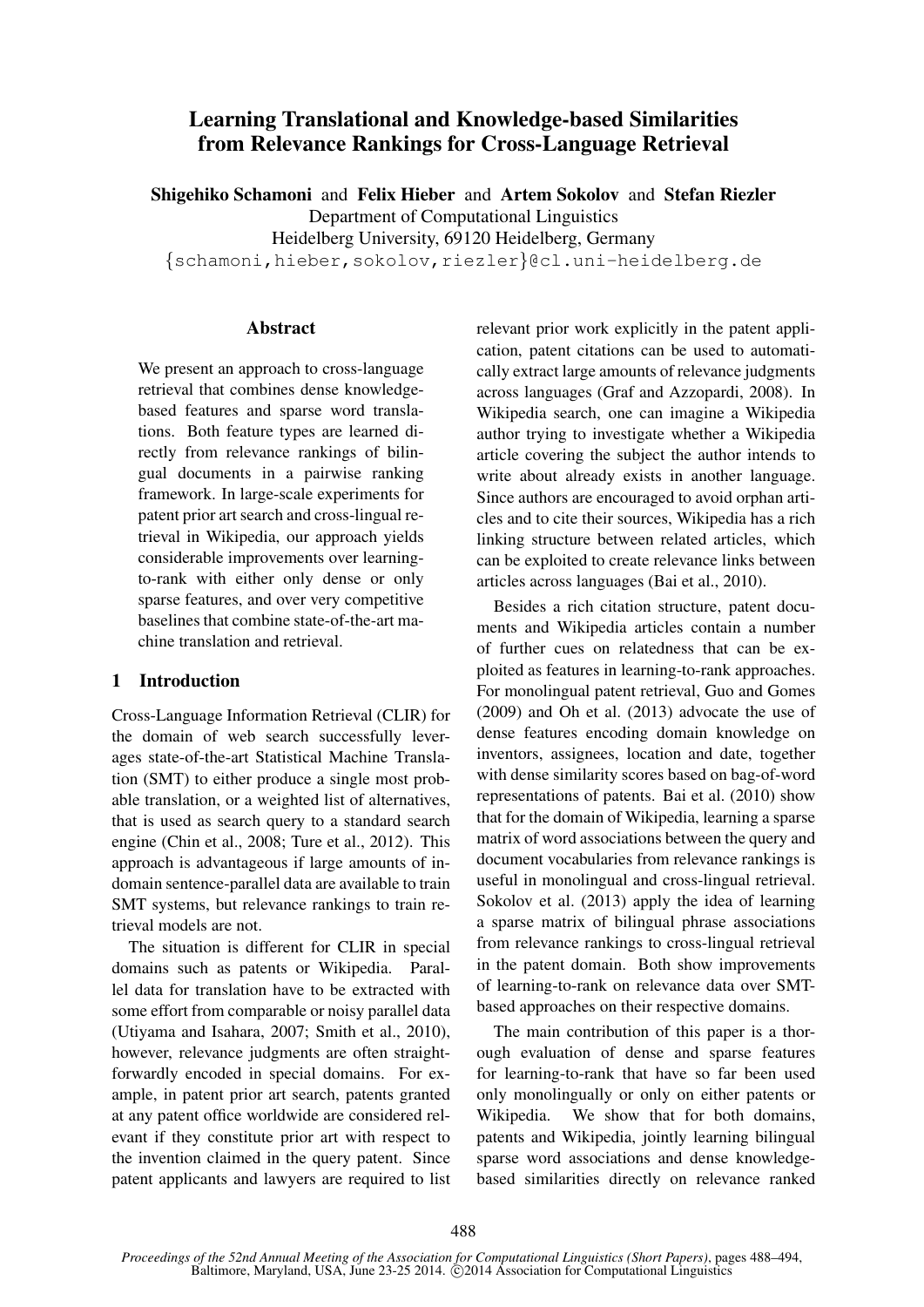# Learning Translational and Knowledge-based Similarities from Relevance Rankings for Cross-Language Retrieval

Shigehiko Schamoni and Felix Hieber and Artem Sokolov and Stefan Riezler Department of Computational Linguistics Heidelberg University, 69120 Heidelberg, Germany {schamoni,hieber,sokolov,riezler}@cl.uni-heidelberg.de

## **Abstract**

We present an approach to cross-language retrieval that combines dense knowledgebased features and sparse word translations. Both feature types are learned directly from relevance rankings of bilingual documents in a pairwise ranking framework. In large-scale experiments for patent prior art search and cross-lingual retrieval in Wikipedia, our approach yields considerable improvements over learningto-rank with either only dense or only sparse features, and over very competitive baselines that combine state-of-the-art machine translation and retrieval.

# 1 Introduction

Cross-Language Information Retrieval (CLIR) for the domain of web search successfully leverages state-of-the-art Statistical Machine Translation (SMT) to either produce a single most probable translation, or a weighted list of alternatives, that is used as search query to a standard search engine (Chin et al., 2008; Ture et al., 2012). This approach is advantageous if large amounts of indomain sentence-parallel data are available to train SMT systems, but relevance rankings to train retrieval models are not.

The situation is different for CLIR in special domains such as patents or Wikipedia. Parallel data for translation have to be extracted with some effort from comparable or noisy parallel data (Utiyama and Isahara, 2007; Smith et al., 2010), however, relevance judgments are often straightforwardly encoded in special domains. For example, in patent prior art search, patents granted at any patent office worldwide are considered relevant if they constitute prior art with respect to the invention claimed in the query patent. Since patent applicants and lawyers are required to list relevant prior work explicitly in the patent application, patent citations can be used to automatically extract large amounts of relevance judgments across languages (Graf and Azzopardi, 2008). In Wikipedia search, one can imagine a Wikipedia author trying to investigate whether a Wikipedia article covering the subject the author intends to write about already exists in another language. Since authors are encouraged to avoid orphan articles and to cite their sources, Wikipedia has a rich linking structure between related articles, which can be exploited to create relevance links between articles across languages (Bai et al., 2010).

Besides a rich citation structure, patent documents and Wikipedia articles contain a number of further cues on relatedness that can be exploited as features in learning-to-rank approaches. For monolingual patent retrieval, Guo and Gomes (2009) and Oh et al. (2013) advocate the use of dense features encoding domain knowledge on inventors, assignees, location and date, together with dense similarity scores based on bag-of-word representations of patents. Bai et al. (2010) show that for the domain of Wikipedia, learning a sparse matrix of word associations between the query and document vocabularies from relevance rankings is useful in monolingual and cross-lingual retrieval. Sokolov et al. (2013) apply the idea of learning a sparse matrix of bilingual phrase associations from relevance rankings to cross-lingual retrieval in the patent domain. Both show improvements of learning-to-rank on relevance data over SMTbased approaches on their respective domains.

The main contribution of this paper is a thorough evaluation of dense and sparse features for learning-to-rank that have so far been used only monolingually or only on either patents or Wikipedia. We show that for both domains, patents and Wikipedia, jointly learning bilingual sparse word associations and dense knowledgebased similarities directly on relevance ranked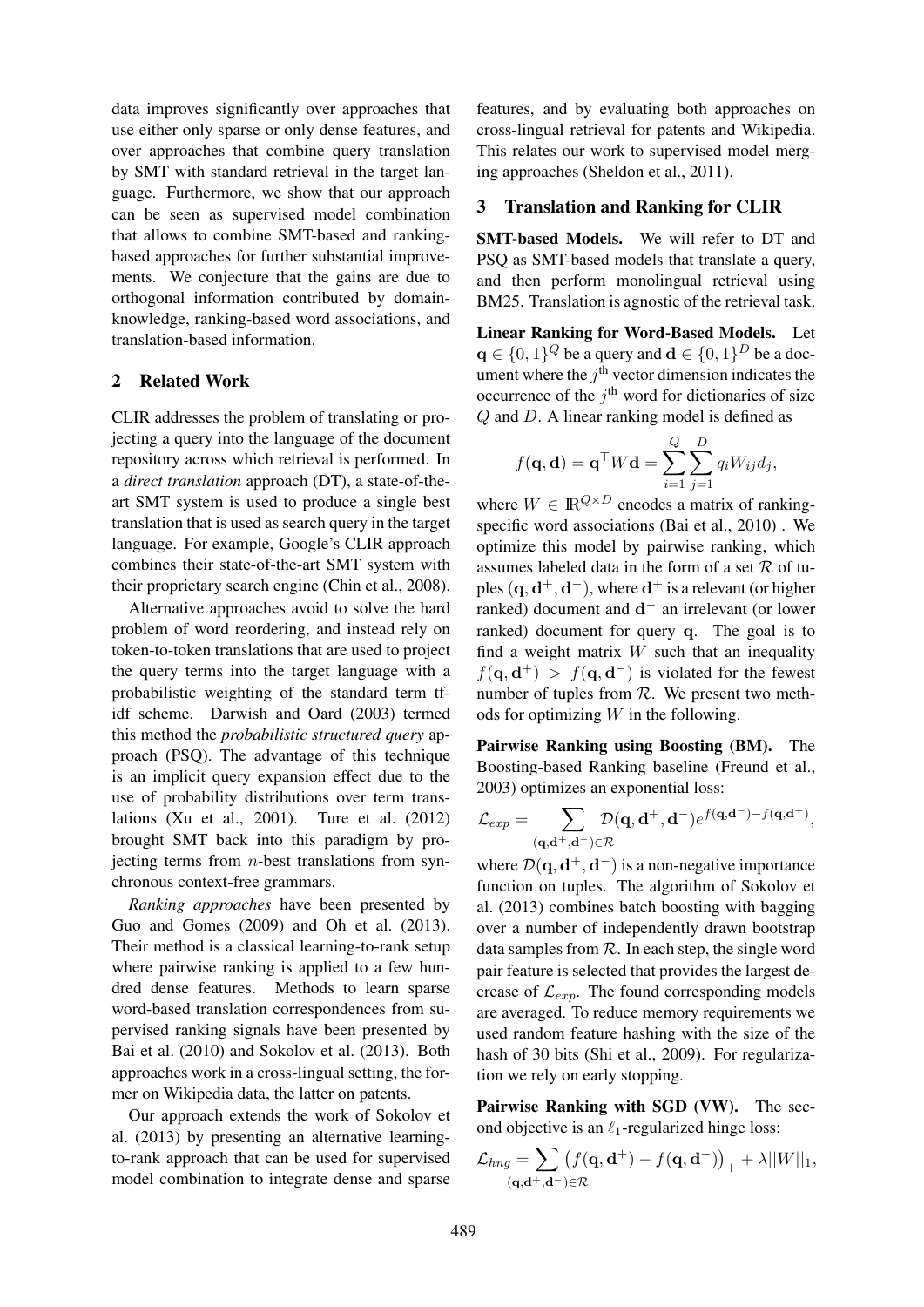data improves significantly over approaches that use either only sparse or only dense features, and over approaches that combine query translation by SMT with standard retrieval in the target language. Furthermore, we show that our approach can be seen as supervised model combination that allows to combine SMT-based and rankingbased approaches for further substantial improvements. We conjecture that the gains are due to orthogonal information contributed by domainknowledge, ranking-based word associations, and translation-based information.

## 2 Related Work

CLIR addresses the problem of translating or projecting a query into the language of the document repository across which retrieval is performed. In a *direct translation* approach (DT), a state-of-theart SMT system is used to produce a single best translation that is used as search query in the target language. For example, Google's CLIR approach combines their state-of-the-art SMT system with their proprietary search engine (Chin et al., 2008).

Alternative approaches avoid to solve the hard problem of word reordering, and instead rely on token-to-token translations that are used to project the query terms into the target language with a probabilistic weighting of the standard term tfidf scheme. Darwish and Oard (2003) termed this method the *probabilistic structured query* approach (PSQ). The advantage of this technique is an implicit query expansion effect due to the use of probability distributions over term translations (Xu et al., 2001). Ture et al. (2012) brought SMT back into this paradigm by projecting terms from  $n$ -best translations from synchronous context-free grammars.

*Ranking approaches* have been presented by Guo and Gomes (2009) and Oh et al. (2013). Their method is a classical learning-to-rank setup where pairwise ranking is applied to a few hundred dense features. Methods to learn sparse word-based translation correspondences from supervised ranking signals have been presented by Bai et al. (2010) and Sokolov et al. (2013). Both approaches work in a cross-lingual setting, the former on Wikipedia data, the latter on patents.

Our approach extends the work of Sokolov et al. (2013) by presenting an alternative learningto-rank approach that can be used for supervised model combination to integrate dense and sparse features, and by evaluating both approaches on cross-lingual retrieval for patents and Wikipedia. This relates our work to supervised model merging approaches (Sheldon et al., 2011).

## 3 Translation and Ranking for CLIR

SMT-based Models. We will refer to DT and PSQ as SMT-based models that translate a query, and then perform monolingual retrieval using BM25. Translation is agnostic of the retrieval task.

Linear Ranking for Word-Based Models. Let  $\mathbf{q} \in \{0,1\}^Q$  be a query and  $\mathbf{d} \in \{0,1\}^D$  be a document where the  $j<sup>th</sup>$  vector dimension indicates the occurrence of the  $j<sup>th</sup>$  word for dictionaries of size Q and D. A linear ranking model is defined as

$$
f(\mathbf{q}, \mathbf{d}) = \mathbf{q}^{\top} W \mathbf{d} = \sum_{i=1}^{Q} \sum_{j=1}^{D} q_i W_{ij} d_j,
$$

where  $W \in \mathbb{R}^{Q \times D}$  encodes a matrix of rankingspecific word associations (Bai et al., 2010) . We optimize this model by pairwise ranking, which assumes labeled data in the form of a set  $R$  of tuples  $({\bf q},{\bf d}^+,{\bf d}^-)$ , where  ${\bf d}^+$  is a relevant (or higher ranked) document and  $d^-$  an irrelevant (or lower ranked) document for query q. The goal is to find a weight matrix  $W$  such that an inequality  $f(\mathbf{q}, \mathbf{d}^+) > f(\mathbf{q}, \mathbf{d}^-)$  is violated for the fewest number of tuples from  $R$ . We present two methods for optimizing  $W$  in the following.

Pairwise Ranking using Boosting (BM). The Boosting-based Ranking baseline (Freund et al., 2003) optimizes an exponential loss:

$$
\mathcal{L}_{exp} = \sum_{(\mathbf{q},\mathbf{d}^+, \mathbf{d}^-) \in \mathcal{R}} \mathcal{D}(\mathbf{q},\mathbf{d}^+, \mathbf{d}^-) e^{f(\mathbf{q},\mathbf{d}^-) - f(\mathbf{q},\mathbf{d}^+)},
$$

where  $\mathcal{D}(\mathbf{q}, \mathbf{d}^+, \mathbf{d}^-)$  is a non-negative importance function on tuples. The algorithm of Sokolov et al. (2013) combines batch boosting with bagging over a number of independently drawn bootstrap data samples from  $R$ . In each step, the single word pair feature is selected that provides the largest decrease of  $\mathcal{L}_{exp}$ . The found corresponding models are averaged. To reduce memory requirements we used random feature hashing with the size of the hash of 30 bits (Shi et al., 2009). For regularization we rely on early stopping.

Pairwise Ranking with SGD (VW). The second objective is an  $\ell_1$ -regularized hinge loss:

$$
\mathcal{L}_{hng} = \sum_{(\mathbf{q},\mathbf{d}^+, \mathbf{d}^-)\in \mathcal{R}} \left( f(\mathbf{q},\mathbf{d}^+) - f(\mathbf{q},\mathbf{d}^-) \right)_+ + \lambda ||W||_1,
$$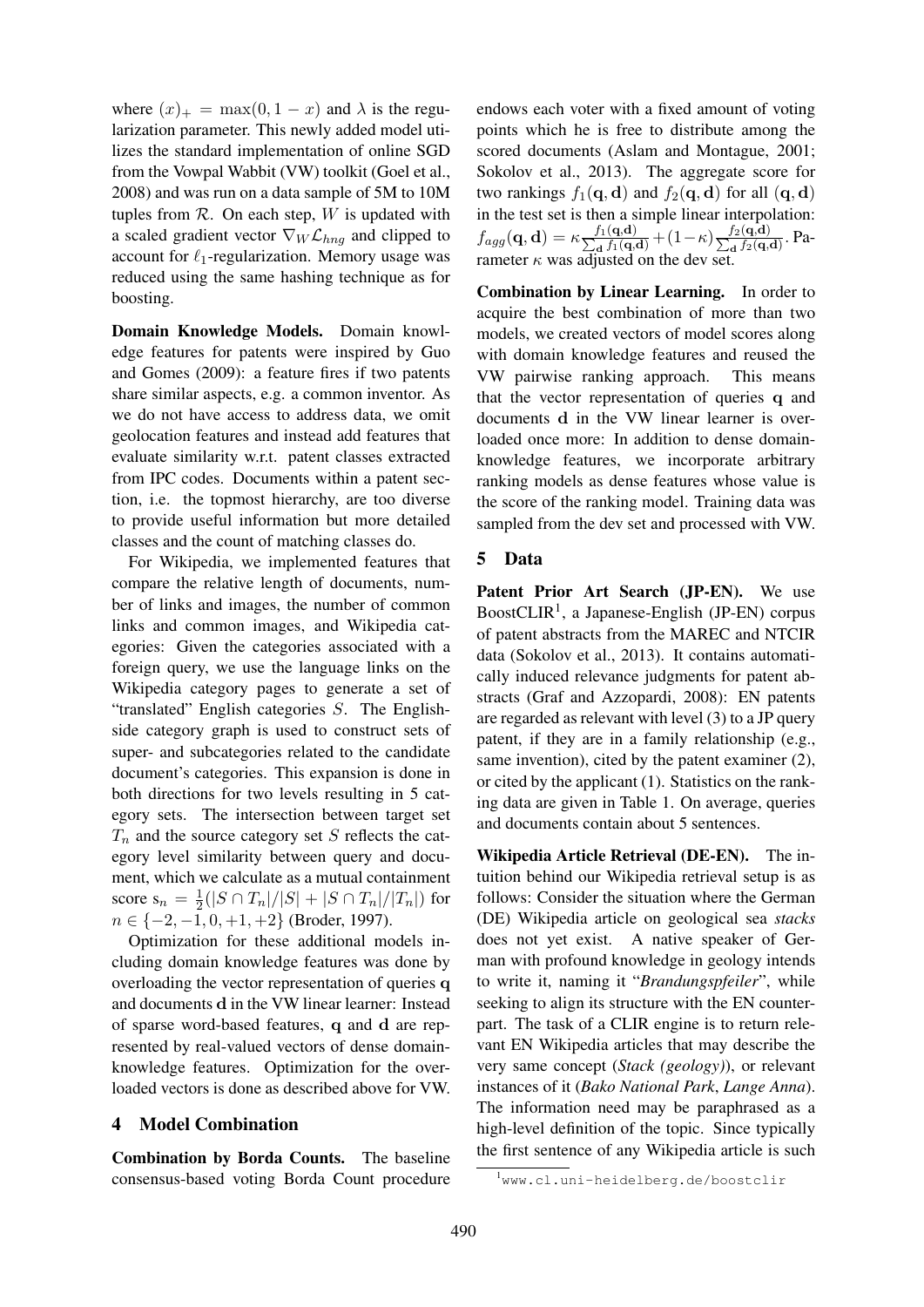where  $(x)_+$  = max $(0, 1 - x)$  and  $\lambda$  is the regularization parameter. This newly added model utilizes the standard implementation of online SGD from the Vowpal Wabbit (VW) toolkit (Goel et al., 2008) and was run on a data sample of 5M to 10M tuples from  $R$ . On each step,  $W$  is updated with a scaled gradient vector  $\nabla_W \mathcal{L}_{h n q}$  and clipped to account for  $\ell_1$ -regularization. Memory usage was reduced using the same hashing technique as for boosting.

Domain Knowledge Models. Domain knowledge features for patents were inspired by Guo and Gomes (2009): a feature fires if two patents share similar aspects, e.g. a common inventor. As we do not have access to address data, we omit geolocation features and instead add features that evaluate similarity w.r.t. patent classes extracted from IPC codes. Documents within a patent section, i.e. the topmost hierarchy, are too diverse to provide useful information but more detailed classes and the count of matching classes do.

For Wikipedia, we implemented features that compare the relative length of documents, number of links and images, the number of common links and common images, and Wikipedia categories: Given the categories associated with a foreign query, we use the language links on the Wikipedia category pages to generate a set of "translated" English categories S. The Englishside category graph is used to construct sets of super- and subcategories related to the candidate document's categories. This expansion is done in both directions for two levels resulting in 5 category sets. The intersection between target set  $T_n$  and the source category set S reflects the category level similarity between query and document, which we calculate as a mutual containment score  $s_n = \frac{1}{2}$  $\frac{1}{2}(|S\cap T_n|/|S|+|S\cap T_n|/|T_n|)$  for  $n \in \{-2, -1, 0, +1, +2\}$  (Broder, 1997).

Optimization for these additional models including domain knowledge features was done by overloading the vector representation of queries q and documents d in the VW linear learner: Instead of sparse word-based features, q and d are represented by real-valued vectors of dense domainknowledge features. Optimization for the overloaded vectors is done as described above for VW.

# 4 Model Combination

Combination by Borda Counts. The baseline consensus-based voting Borda Count procedure

endows each voter with a fixed amount of voting points which he is free to distribute among the scored documents (Aslam and Montague, 2001; Sokolov et al., 2013). The aggregate score for two rankings  $f_1(\mathbf{q}, \mathbf{d})$  and  $f_2(\mathbf{q}, \mathbf{d})$  for all  $(\mathbf{q}, \mathbf{d})$ in the test set is then a simple linear interpolation:  $f_{agg}(\mathbf{q}, \mathbf{d}) = \kappa \frac{f_1(\mathbf{q}, \mathbf{d})}{\sum_{\mathbf{d}} f_1(\mathbf{q}, \mathbf{d})}$  $\frac{f_1(\mathbf{q},\mathbf{d})}{\mathbf{d}} + (1-\kappa)\frac{f_2(\mathbf{q},\mathbf{d})}{\sum_{\mathbf{d}}f_2(\mathbf{q},\mathbf{d})}$  $\frac{J_2(\mathbf{q}, \mathbf{u})}{d}$ . Parameter  $\kappa$  was adjusted on the dev set.

Combination by Linear Learning. In order to acquire the best combination of more than two models, we created vectors of model scores along with domain knowledge features and reused the VW pairwise ranking approach. This means that the vector representation of queries q and documents d in the VW linear learner is overloaded once more: In addition to dense domainknowledge features, we incorporate arbitrary ranking models as dense features whose value is the score of the ranking model. Training data was sampled from the dev set and processed with VW.

## 5 Data

Patent Prior Art Search (JP-EN). We use BoostCLIR<sup>1</sup>, a Japanese-English (JP-EN) corpus of patent abstracts from the MAREC and NTCIR data (Sokolov et al., 2013). It contains automatically induced relevance judgments for patent abstracts (Graf and Azzopardi, 2008): EN patents are regarded as relevant with level (3) to a JP query patent, if they are in a family relationship (e.g., same invention), cited by the patent examiner (2), or cited by the applicant (1). Statistics on the ranking data are given in Table 1. On average, queries and documents contain about 5 sentences.

Wikipedia Article Retrieval (DE-EN). The intuition behind our Wikipedia retrieval setup is as follows: Consider the situation where the German (DE) Wikipedia article on geological sea *stacks* does not yet exist. A native speaker of German with profound knowledge in geology intends to write it, naming it "*Brandungspfeiler*", while seeking to align its structure with the EN counterpart. The task of a CLIR engine is to return relevant EN Wikipedia articles that may describe the very same concept (*Stack (geology)*), or relevant instances of it (*Bako National Park*, *Lange Anna*). The information need may be paraphrased as a high-level definition of the topic. Since typically the first sentence of any Wikipedia article is such

<sup>1</sup>www.cl.uni-heidelberg.de/boostclir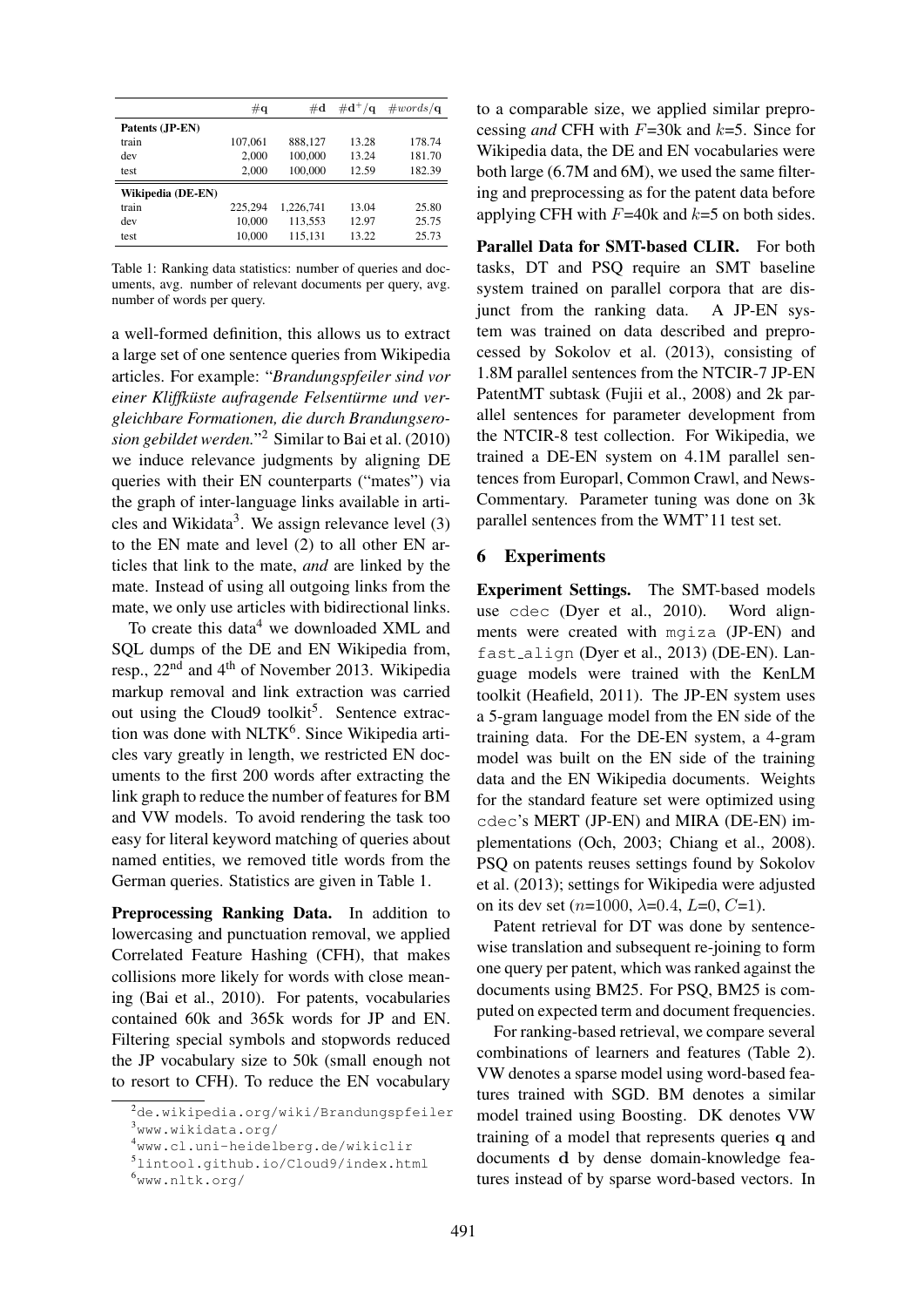|                          | $\#\mathbf{q}$ | $\#\mathbf{d}$ | $\#d^+/\mathbf{q}$ | $\#words/\mathbf{q}$ |
|--------------------------|----------------|----------------|--------------------|----------------------|
| Patents (JP-EN)          |                |                |                    |                      |
| train                    | 107.061        | 888.127        | 13.28              | 178.74               |
| dev                      | 2.000          | 100,000        | 13.24              | 181.70               |
| test                     | 2.000          | 100,000        | 12.59              | 182.39               |
| <b>Wikipedia (DE-EN)</b> |                |                |                    |                      |
| train                    | 225,294        | 1.226.741      | 13.04              | 25.80                |
| dev                      | 10,000         | 113,553        | 12.97              | 25.75                |
| test                     | 10,000         | 115,131        | 13.22              | 25.73                |

Table 1: Ranking data statistics: number of queries and documents, avg. number of relevant documents per query, avg. number of words per query.

a well-formed definition, this allows us to extract a large set of one sentence queries from Wikipedia articles. For example: "*Brandungspfeiler sind vor einer Kliffküste aufragende Felsentürme und vergleichbare Formationen, die durch Brandungserosion gebildet werden.*" <sup>2</sup> Similar to Bai et al. (2010) we induce relevance judgments by aligning DE queries with their EN counterparts ("mates") via the graph of inter-language links available in articles and Wikidata<sup>3</sup>. We assign relevance level  $(3)$ to the EN mate and level (2) to all other EN articles that link to the mate, *and* are linked by the mate. Instead of using all outgoing links from the mate, we only use articles with bidirectional links.

To create this data $4$  we downloaded XML and SQL dumps of the DE and EN Wikipedia from, resp., 22nd and 4th of November 2013. Wikipedia markup removal and link extraction was carried out using the Cloud9 toolkit<sup>5</sup>. Sentence extraction was done with NLTK<sup>6</sup>. Since Wikipedia articles vary greatly in length, we restricted EN documents to the first 200 words after extracting the link graph to reduce the number of features for BM and VW models. To avoid rendering the task too easy for literal keyword matching of queries about named entities, we removed title words from the German queries. Statistics are given in Table 1.

Preprocessing Ranking Data. In addition to lowercasing and punctuation removal, we applied Correlated Feature Hashing (CFH), that makes collisions more likely for words with close meaning (Bai et al., 2010). For patents, vocabularies contained 60k and 365k words for JP and EN. Filtering special symbols and stopwords reduced the JP vocabulary size to 50k (small enough not to resort to CFH). To reduce the EN vocabulary to a comparable size, we applied similar preprocessing *and* CFH with F=30k and k=5. Since for Wikipedia data, the DE and EN vocabularies were both large (6.7M and 6M), we used the same filtering and preprocessing as for the patent data before applying CFH with  $F=40k$  and  $k=5$  on both sides.

Parallel Data for SMT-based CLIR. For both tasks, DT and PSQ require an SMT baseline system trained on parallel corpora that are disjunct from the ranking data. A JP-EN system was trained on data described and preprocessed by Sokolov et al. (2013), consisting of 1.8M parallel sentences from the NTCIR-7 JP-EN PatentMT subtask (Fujii et al., 2008) and 2k parallel sentences for parameter development from the NTCIR-8 test collection. For Wikipedia, we trained a DE-EN system on 4.1M parallel sentences from Europarl, Common Crawl, and News-Commentary. Parameter tuning was done on 3k parallel sentences from the WMT'11 test set.

## 6 Experiments

Experiment Settings. The SMT-based models use cdec (Dyer et al., 2010). Word alignments were created with mgiza (JP-EN) and fast align (Dyer et al., 2013) (DE-EN). Language models were trained with the KenLM toolkit (Heafield, 2011). The JP-EN system uses a 5-gram language model from the EN side of the training data. For the DE-EN system, a 4-gram model was built on the EN side of the training data and the EN Wikipedia documents. Weights for the standard feature set were optimized using cdec's MERT (JP-EN) and MIRA (DE-EN) implementations (Och, 2003; Chiang et al., 2008). PSQ on patents reuses settings found by Sokolov et al. (2013); settings for Wikipedia were adjusted on its dev set ( $n=1000$ ,  $\lambda=0.4$ ,  $L=0$ ,  $C=1$ ).

Patent retrieval for DT was done by sentencewise translation and subsequent re-joining to form one query per patent, which was ranked against the documents using BM25. For PSQ, BM25 is computed on expected term and document frequencies.

For ranking-based retrieval, we compare several combinations of learners and features (Table 2). VW denotes a sparse model using word-based features trained with SGD. BM denotes a similar model trained using Boosting. DK denotes VW training of a model that represents queries q and documents d by dense domain-knowledge features instead of by sparse word-based vectors. In

 $^{2}$ de.wikipedia.org/wiki/Brandungspfeiler <sup>3</sup>www.wikidata.org/

<sup>4</sup>www.cl.uni-heidelberg.de/wikiclir

<sup>5</sup>lintool.github.io/Cloud9/index.html

<sup>6</sup>www.nltk.org/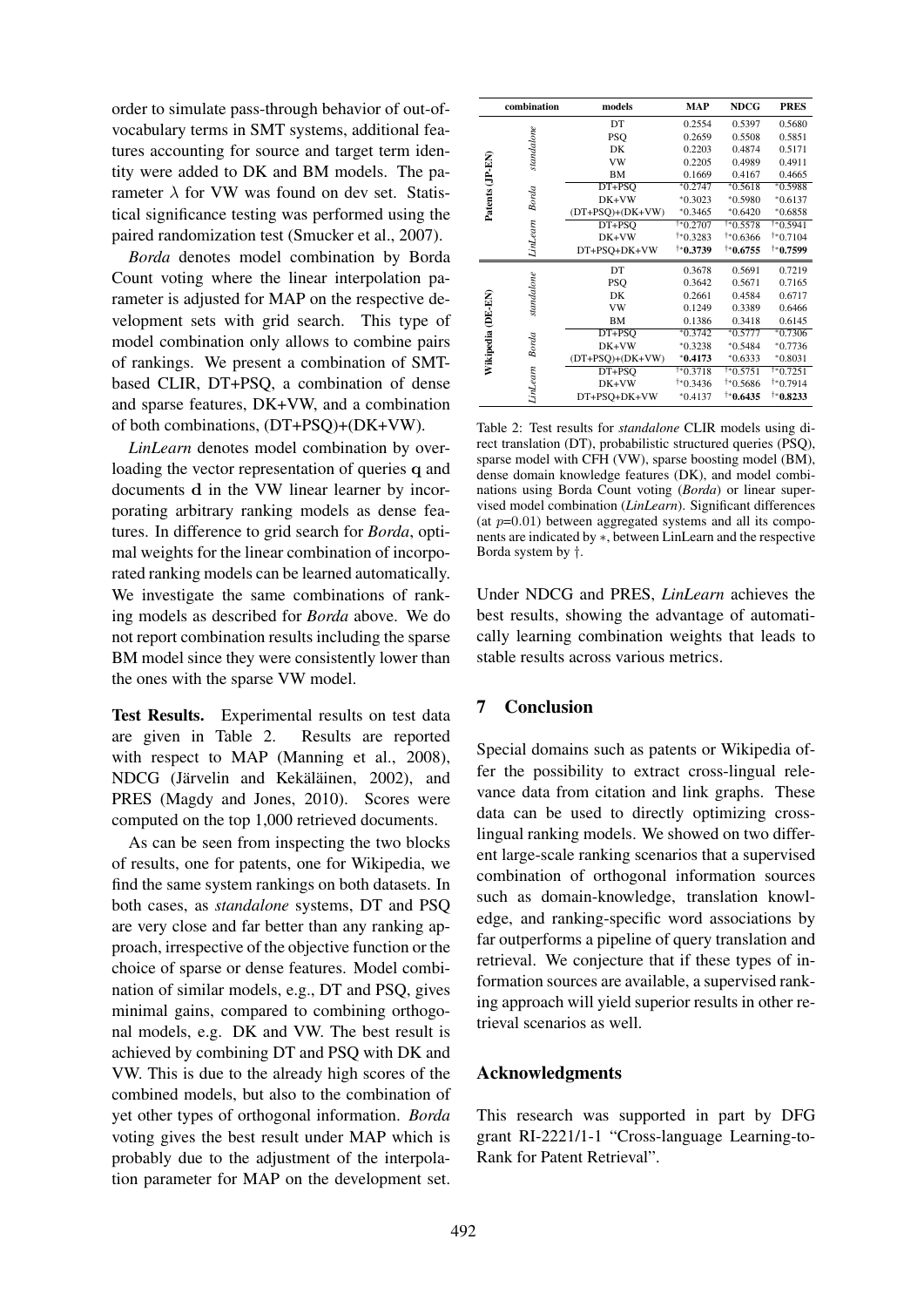order to simulate pass-through behavior of out-ofvocabulary terms in SMT systems, additional features accounting for source and target term identity were added to DK and BM models. The parameter  $\lambda$  for VW was found on dev set. Statistical significance testing was performed using the paired randomization test (Smucker et al., 2007).

*Borda* denotes model combination by Borda Count voting where the linear interpolation parameter is adjusted for MAP on the respective development sets with grid search. This type of model combination only allows to combine pairs of rankings. We present a combination of SMTbased CLIR, DT+PSQ, a combination of dense and sparse features, DK+VW, and a combination of both combinations, (DT+PSQ)+(DK+VW).

*LinLearn* denotes model combination by overloading the vector representation of queries q and documents d in the VW linear learner by incorporating arbitrary ranking models as dense features. In difference to grid search for *Borda*, optimal weights for the linear combination of incorporated ranking models can be learned automatically. We investigate the same combinations of ranking models as described for *Borda* above. We do not report combination results including the sparse BM model since they were consistently lower than the ones with the sparse VW model.

Test Results. Experimental results on test data are given in Table 2. Results are reported with respect to MAP (Manning et al., 2008), NDCG (Järvelin and Kekäläinen, 2002), and PRES (Magdy and Jones, 2010). Scores were computed on the top 1,000 retrieved documents.

As can be seen from inspecting the two blocks of results, one for patents, one for Wikipedia, we find the same system rankings on both datasets. In both cases, as *standalone* systems, DT and PSQ are very close and far better than any ranking approach, irrespective of the objective function or the choice of sparse or dense features. Model combination of similar models, e.g., DT and PSQ, gives minimal gains, compared to combining orthogonal models, e.g. DK and VW. The best result is achieved by combining DT and PSQ with DK and VW. This is due to the already high scores of the combined models, but also to the combination of yet other types of orthogonal information. *Borda* voting gives the best result under MAP which is probably due to the adjustment of the interpolation parameter for MAP on the development set.

|                   | combination       | models             | <b>MAP</b>        | <b>NDCG</b>          | <b>PRES</b> |
|-------------------|-------------------|--------------------|-------------------|----------------------|-------------|
| Patents (JP-EN)   | standalone        | DT                 | 0.2554            | 0.5397               | 0.5680      |
|                   |                   | PSQ                | 0.2659            | 0.5508               | 0.5851      |
|                   |                   | DK                 | 0.2203            | 0.4874               | 0.5171      |
|                   |                   | VW                 | 0.2205            | 0.4989               | 0.4911      |
|                   |                   | BM                 | 0.1669            | 0.4167               | 0.4665      |
|                   | Borda<br>LinLearn | DT+PSO             | $*0.2747$         | $*0.5618$            | $*0.5988$   |
|                   |                   | DK+VW              | $*0.3023$         | $*0.5980$            | $*0.6137$   |
|                   |                   | $(DT+PSQ)+(DK+VW)$ | $*0.3465$         | $*0.6420$            | $*0.6858$   |
|                   |                   | DT+PSO             | $\sqrt{1*0.2707}$ | $*0.5578$            | $*0.5941$   |
|                   |                   | DK+VW              | $*0.3283$         | $*0.6366$            | $*0.7104$   |
|                   |                   | DT+PSQ+DK+VW       | †*0.3739          | $*0.6755$            | $*0.7599$   |
| Wikipedia (DE-EN) | standalone        | DT                 | 0.3678            | 0.5691               | 0.7219      |
|                   |                   | <b>PSO</b>         | 0.3642            | 0.5671               | 0.7165      |
|                   |                   | DK                 | 0.2661            | 0.4584               | 0.6717      |
|                   |                   | VW                 | 0.1249            | 0.3389               | 0.6466      |
|                   |                   | BM                 | 0.1386            | 0.3418               | 0.6145      |
|                   | Borda<br>LinLearn | DT+PSO             | $*0.3742$         | $*0.5777$            | $*0.7306$   |
|                   |                   | DK+VW              | $*0.3238$         | $*0.5484$            | $*0.7736$   |
|                   |                   | $(DT+PSQ)+(DK+VW)$ | $*0.4173$         | $*0.6333$            | $*0.8031$   |
|                   |                   | DT+PSO             | $*0.3718$         | $*0.5751$            | †*0.7251    |
|                   |                   | DK+VW              | $*0.3436$         | $*0.5686$            | $*0.7914$   |
|                   |                   | DT+PSQ+DK+VW       | $*0.4137$         | $^{\dagger*}$ 0.6435 | $*0.8233$   |

Table 2: Test results for *standalone* CLIR models using direct translation (DT), probabilistic structured queries (PSQ), sparse model with CFH (VW), sparse boosting model (BM), dense domain knowledge features (DK), and model combinations using Borda Count voting (*Borda*) or linear supervised model combination (*LinLearn*). Significant differences (at  $p=0.01$ ) between aggregated systems and all its components are indicated by ∗, between LinLearn and the respective Borda system by †.

Under NDCG and PRES, *LinLearn* achieves the best results, showing the advantage of automatically learning combination weights that leads to stable results across various metrics.

# 7 Conclusion

Special domains such as patents or Wikipedia offer the possibility to extract cross-lingual relevance data from citation and link graphs. These data can be used to directly optimizing crosslingual ranking models. We showed on two different large-scale ranking scenarios that a supervised combination of orthogonal information sources such as domain-knowledge, translation knowledge, and ranking-specific word associations by far outperforms a pipeline of query translation and retrieval. We conjecture that if these types of information sources are available, a supervised ranking approach will yield superior results in other retrieval scenarios as well.

### Acknowledgments

This research was supported in part by DFG grant RI-2221/1-1 "Cross-language Learning-to-Rank for Patent Retrieval".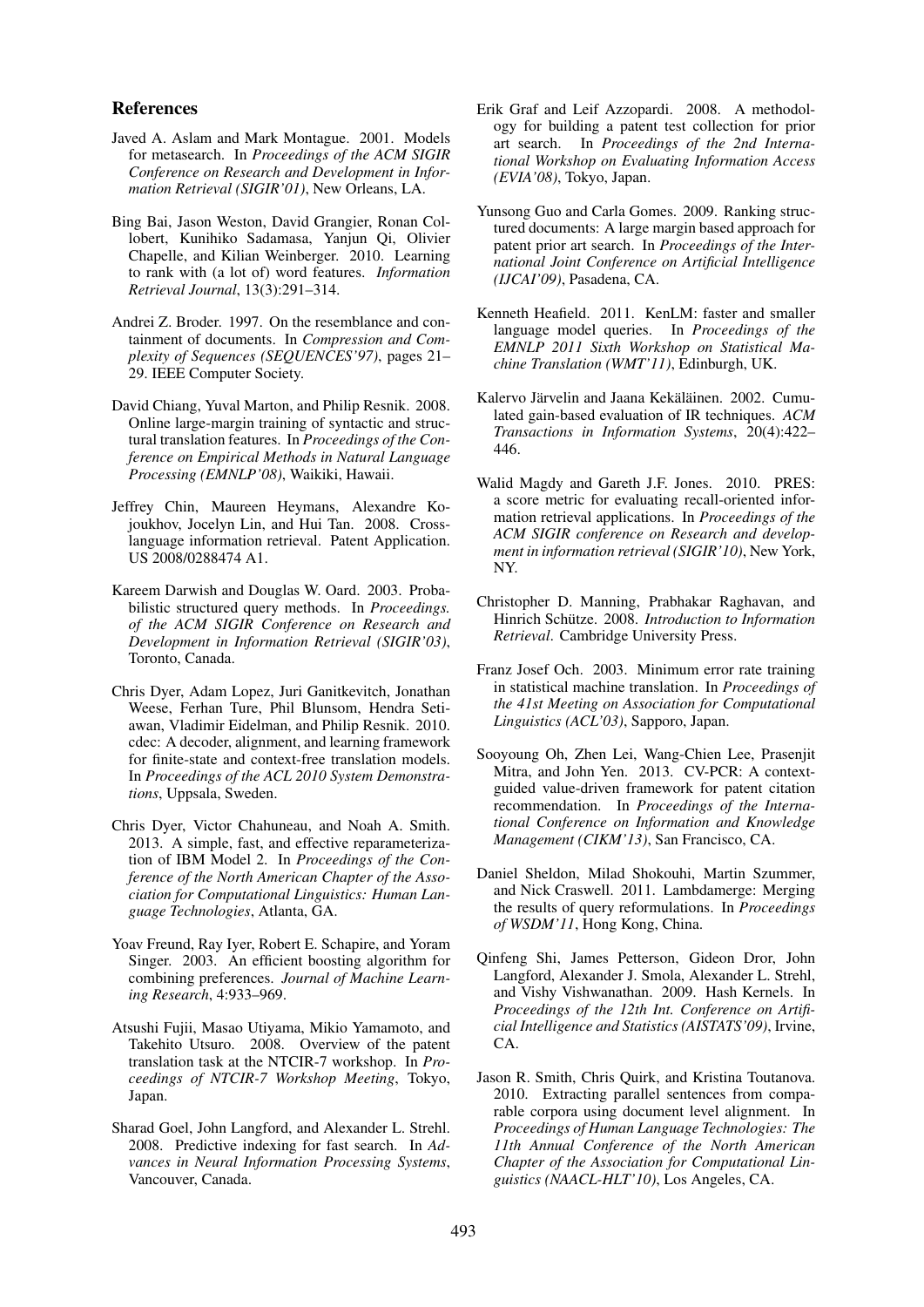### References

- Javed A. Aslam and Mark Montague. 2001. Models for metasearch. In *Proceedings of the ACM SIGIR Conference on Research and Development in Information Retrieval (SIGIR'01)*, New Orleans, LA.
- Bing Bai, Jason Weston, David Grangier, Ronan Collobert, Kunihiko Sadamasa, Yanjun Qi, Olivier Chapelle, and Kilian Weinberger. 2010. Learning to rank with (a lot of) word features. *Information Retrieval Journal*, 13(3):291–314.
- Andrei Z. Broder. 1997. On the resemblance and containment of documents. In *Compression and Complexity of Sequences (SEQUENCES'97)*, pages 21– 29. IEEE Computer Society.
- David Chiang, Yuval Marton, and Philip Resnik. 2008. Online large-margin training of syntactic and structural translation features. In *Proceedings of the Conference on Empirical Methods in Natural Language Processing (EMNLP'08)*, Waikiki, Hawaii.
- Jeffrey Chin, Maureen Heymans, Alexandre Kojoukhov, Jocelyn Lin, and Hui Tan. 2008. Crosslanguage information retrieval. Patent Application. US 2008/0288474 A1.
- Kareem Darwish and Douglas W. Oard. 2003. Probabilistic structured query methods. In *Proceedings. of the ACM SIGIR Conference on Research and Development in Information Retrieval (SIGIR'03)*, Toronto, Canada.
- Chris Dyer, Adam Lopez, Juri Ganitkevitch, Jonathan Weese, Ferhan Ture, Phil Blunsom, Hendra Setiawan, Vladimir Eidelman, and Philip Resnik. 2010. cdec: A decoder, alignment, and learning framework for finite-state and context-free translation models. In *Proceedings of the ACL 2010 System Demonstrations*, Uppsala, Sweden.
- Chris Dyer, Victor Chahuneau, and Noah A. Smith. 2013. A simple, fast, and effective reparameterization of IBM Model 2. In *Proceedings of the Conference of the North American Chapter of the Association for Computational Linguistics: Human Language Technologies*, Atlanta, GA.
- Yoav Freund, Ray Iyer, Robert E. Schapire, and Yoram Singer. 2003. An efficient boosting algorithm for combining preferences. *Journal of Machine Learning Research*, 4:933–969.
- Atsushi Fujii, Masao Utiyama, Mikio Yamamoto, and Takehito Utsuro. 2008. Overview of the patent translation task at the NTCIR-7 workshop. In *Proceedings of NTCIR-7 Workshop Meeting*, Tokyo, Japan.
- Sharad Goel, John Langford, and Alexander L. Strehl. 2008. Predictive indexing for fast search. In *Advances in Neural Information Processing Systems*, Vancouver, Canada.
- Erik Graf and Leif Azzopardi. 2008. A methodology for building a patent test collection for prior art search. In *Proceedings of the 2nd International Workshop on Evaluating Information Access (EVIA'08)*, Tokyo, Japan.
- Yunsong Guo and Carla Gomes. 2009. Ranking structured documents: A large margin based approach for patent prior art search. In *Proceedings of the International Joint Conference on Artificial Intelligence (IJCAI'09)*, Pasadena, CA.
- Kenneth Heafield. 2011. KenLM: faster and smaller language model queries. In *Proceedings of the EMNLP 2011 Sixth Workshop on Statistical Machine Translation (WMT'11)*, Edinburgh, UK.
- Kalervo Järvelin and Jaana Kekäläinen. 2002. Cumulated gain-based evaluation of IR techniques. *ACM Transactions in Information Systems*, 20(4):422– 446.
- Walid Magdy and Gareth J.F. Jones. 2010. PRES: a score metric for evaluating recall-oriented information retrieval applications. In *Proceedings of the ACM SIGIR conference on Research and development in information retrieval (SIGIR'10)*, New York, NY.
- Christopher D. Manning, Prabhakar Raghavan, and Hinrich Schütze. 2008. Introduction to Information *Retrieval*. Cambridge University Press.
- Franz Josef Och. 2003. Minimum error rate training in statistical machine translation. In *Proceedings of the 41st Meeting on Association for Computational Linguistics (ACL'03)*, Sapporo, Japan.
- Sooyoung Oh, Zhen Lei, Wang-Chien Lee, Prasenjit Mitra, and John Yen. 2013. CV-PCR: A contextguided value-driven framework for patent citation recommendation. In *Proceedings of the International Conference on Information and Knowledge Management (CIKM'13)*, San Francisco, CA.
- Daniel Sheldon, Milad Shokouhi, Martin Szummer, and Nick Craswell. 2011. Lambdamerge: Merging the results of query reformulations. In *Proceedings of WSDM'11*, Hong Kong, China.
- Qinfeng Shi, James Petterson, Gideon Dror, John Langford, Alexander J. Smola, Alexander L. Strehl, and Vishy Vishwanathan. 2009. Hash Kernels. In *Proceedings of the 12th Int. Conference on Artificial Intelligence and Statistics (AISTATS'09)*, Irvine, CA.
- Jason R. Smith, Chris Quirk, and Kristina Toutanova. 2010. Extracting parallel sentences from comparable corpora using document level alignment. In *Proceedings of Human Language Technologies: The 11th Annual Conference of the North American Chapter of the Association for Computational Linguistics (NAACL-HLT'10)*, Los Angeles, CA.